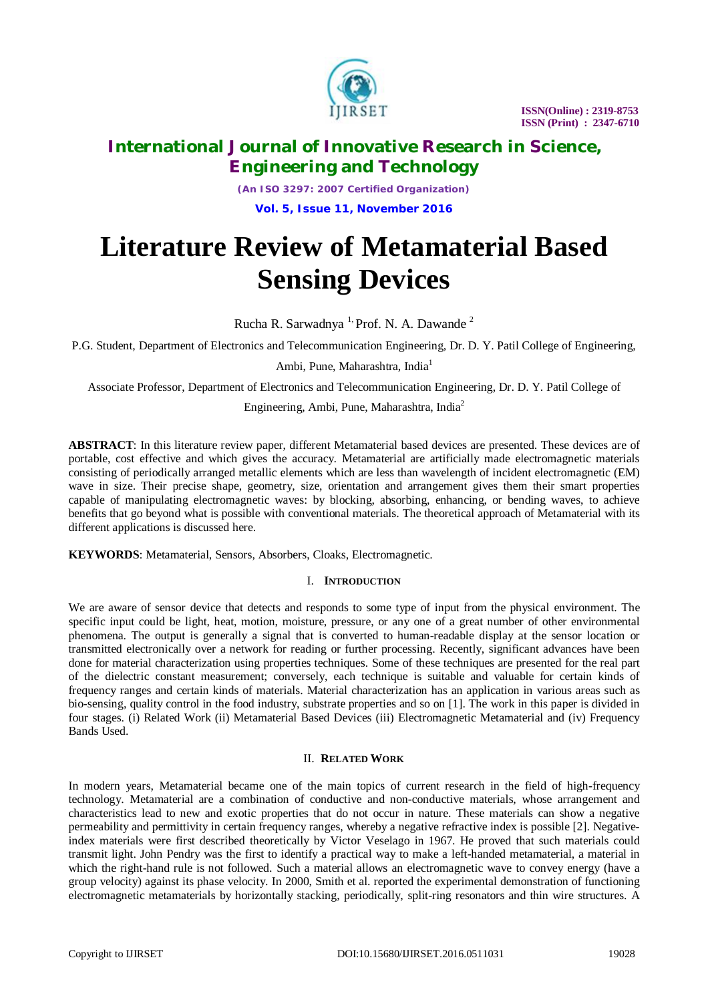

# **International Journal of Innovative Research in Science, Engineering and Technology**

*(An ISO 3297: 2007 Certified Organization)* **Vol. 5, Issue 11, November 2016**

# **Literature Review of Metamaterial Based Sensing Devices**

Rucha R. Sarwadnya<sup>1,</sup> Prof. N. A. Dawande<sup>2</sup>

P.G. Student, Department of Electronics and Telecommunication Engineering, Dr. D. Y. Patil College of Engineering,

Ambi, Pune, Maharashtra, India<sup>1</sup>

Associate Professor, Department of Electronics and Telecommunication Engineering, Dr. D. Y. Patil College of

Engineering, Ambi, Pune, Maharashtra, India<sup>2</sup>

**ABSTRACT**: In this literature review paper, different Metamaterial based devices are presented. These devices are of portable, cost effective and which gives the accuracy. Metamaterial are artificially made electromagnetic materials consisting of periodically arranged metallic elements which are less than wavelength of incident electromagnetic (EM) wave in size. Their precise shape, geometry, size, orientation and arrangement gives them their smart properties capable of manipulating electromagnetic waves: by blocking, absorbing, enhancing, or bending waves, to achieve benefits that go beyond what is possible with conventional materials. The theoretical approach of Metamaterial with its different applications is discussed here.

**KEYWORDS**: Metamaterial, Sensors, Absorbers, Cloaks, Electromagnetic.

## I. **INTRODUCTION**

We are aware of sensor device that detects and responds to some type of input from the physical environment. The specific input could be light, heat, motion, moisture, pressure, or any one of a great number of other environmental phenomena. The output is generally a signal that is converted to human-readable display at the sensor location or transmitted electronically over a network for reading or further processing. Recently, significant advances have been done for material characterization using properties techniques. Some of these techniques are presented for the real part of the dielectric constant measurement; conversely, each technique is suitable and valuable for certain kinds of frequency ranges and certain kinds of materials. Material characterization has an application in various areas such as bio-sensing, quality control in the food industry, substrate properties and so on [1]. The work in this paper is divided in four stages. (i) Related Work (ii) Metamaterial Based Devices (iii) Electromagnetic Metamaterial and (iv) Frequency Bands Used.

## II. **RELATED WORK**

In modern years, Metamaterial became one of the main topics of current research in the field of high-frequency technology. Metamaterial are a combination of conductive and non-conductive materials, whose arrangement and characteristics lead to new and exotic properties that do not occur in nature. These materials can show a negative permeability and permittivity in certain frequency ranges, whereby a negative refractive index is possible [2]. Negativeindex materials were first described theoretically by Victor Veselago in 1967. He proved that such materials could transmit light. John Pendry was the first to identify a practical way to make a left-handed metamaterial, a material in which the right-hand rule is not followed. Such a material allows an electromagnetic wave to convey energy (have a group velocity) against its phase velocity. In 2000, Smith et al. reported the experimental demonstration of functioning electromagnetic metamaterials by horizontally stacking, periodically, split-ring resonators and thin wire structures. A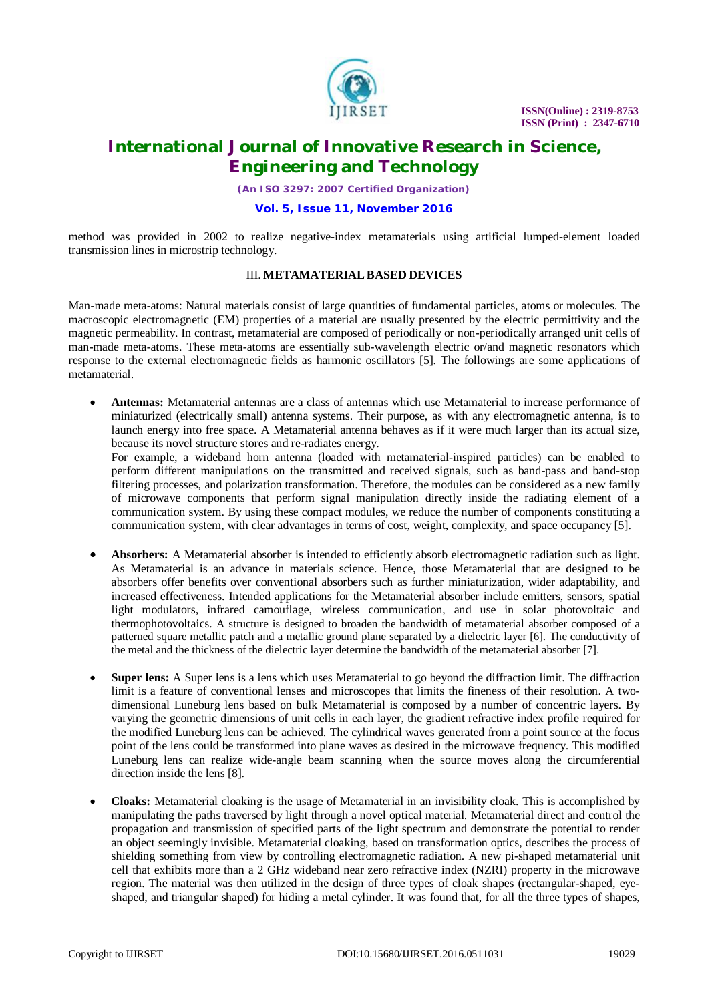

# **International Journal of Innovative Research in Science, Engineering and Technology**

*(An ISO 3297: 2007 Certified Organization)*

### **Vol. 5, Issue 11, November 2016**

method was provided in 2002 to realize negative-index metamaterials using artificial lumped-element loaded transmission lines in microstrip technology.

#### III. **METAMATERIALBASED DEVICES**

Man-made meta-atoms: Natural materials consist of large quantities of fundamental particles, atoms or molecules. The macroscopic electromagnetic (EM) properties of a material are usually presented by the electric permittivity and the magnetic permeability. In contrast, metamaterial are composed of periodically or non-periodically arranged unit cells of man-made meta-atoms. These meta-atoms are essentially sub-wavelength electric or/and magnetic resonators which response to the external electromagnetic fields as harmonic oscillators [5]. The followings are some applications of metamaterial.

 **Antennas:** Metamaterial antennas are a class of antennas which use Metamaterial to increase performance of miniaturized (electrically small) antenna systems. Their purpose, as with any electromagnetic antenna, is to launch energy into free space. A Metamaterial antenna behaves as if it were much larger than its actual size, because its novel structure stores and re-radiates energy.

For example, a wideband horn antenna (loaded with metamaterial-inspired particles) can be enabled to perform different manipulations on the transmitted and received signals, such as band-pass and band-stop filtering processes, and polarization transformation. Therefore, the modules can be considered as a new family of microwave components that perform signal manipulation directly inside the radiating element of a communication system. By using these compact modules, we reduce the number of components constituting a communication system, with clear advantages in terms of cost, weight, complexity, and space occupancy [5].

- **Absorbers:** A Metamaterial absorber is intended to efficiently absorb electromagnetic radiation such as light. As Metamaterial is an advance in materials science. Hence, those Metamaterial that are designed to be absorbers offer benefits over conventional absorbers such as further miniaturization, wider adaptability, and increased effectiveness. Intended applications for the Metamaterial absorber include emitters, sensors, spatial light modulators, infrared camouflage, wireless communication, and use in solar photovoltaic and thermophotovoltaics. A structure is designed to broaden the bandwidth of metamaterial absorber composed of a patterned square metallic patch and a metallic ground plane separated by a dielectric layer [6]. The conductivity of the metal and the thickness of the dielectric layer determine the bandwidth of the metamaterial absorber [7].
- **Super lens:** A Super lens is a lens which uses Metamaterial to go beyond the diffraction limit. The diffraction limit is a feature of conventional lenses and microscopes that limits the fineness of their resolution. A twodimensional Luneburg lens based on bulk Metamaterial is composed by a number of concentric layers. By varying the geometric dimensions of unit cells in each layer, the gradient refractive index profile required for the modified Luneburg lens can be achieved. The cylindrical waves generated from a point source at the focus point of the lens could be transformed into plane waves as desired in the microwave frequency. This modified Luneburg lens can realize wide-angle beam scanning when the source moves along the circumferential direction inside the lens [8].
- **Cloaks:** Metamaterial cloaking is the usage of Metamaterial in an invisibility cloak. This is accomplished by manipulating the paths traversed by light through a novel optical material. Metamaterial direct and control the propagation and transmission of specified parts of the light spectrum and demonstrate the potential to render an object seemingly invisible. Metamaterial cloaking, based on transformation optics, describes the process of shielding something from view by controlling electromagnetic radiation. A new pi-shaped metamaterial unit cell that exhibits more than a 2 GHz wideband near zero refractive index (NZRI) property in the microwave region. The material was then utilized in the design of three types of cloak shapes (rectangular-shaped, eyeshaped, and triangular shaped) for hiding a metal cylinder. It was found that, for all the three types of shapes,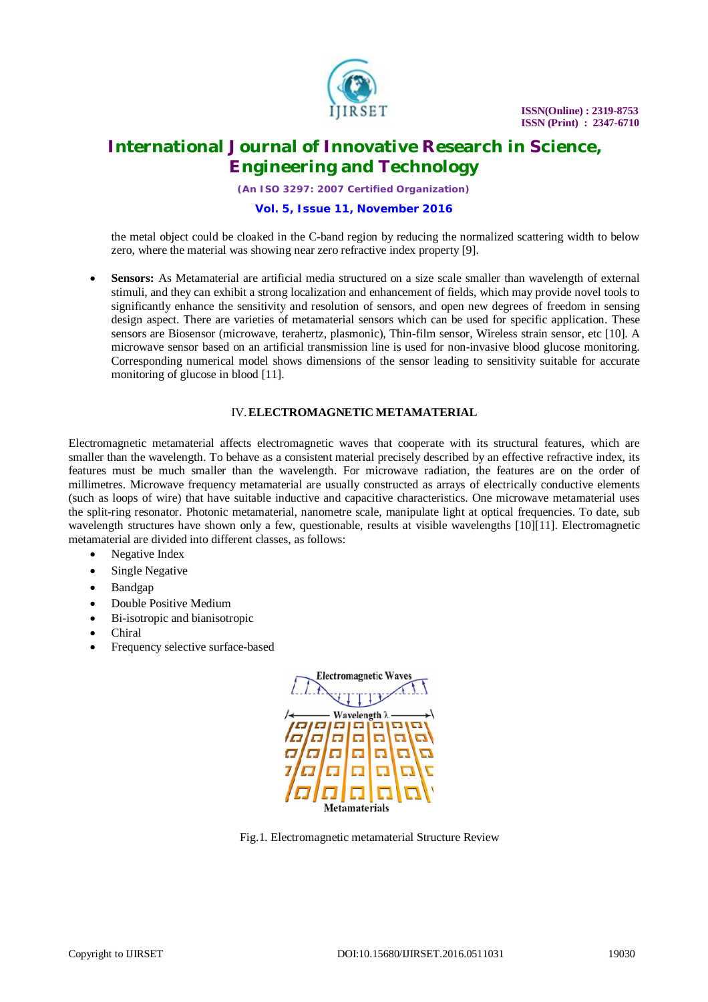

# **International Journal of Innovative Research in Science, Engineering and Technology**

*(An ISO 3297: 2007 Certified Organization)*

## **Vol. 5, Issue 11, November 2016**

the metal object could be cloaked in the C-band region by reducing the normalized scattering width to below zero, where the material was showing near zero refractive index property [9].

 **Sensors:** As Metamaterial are artificial media structured on a size scale smaller than wavelength of external stimuli, and they can exhibit a strong localization and enhancement of fields, which may provide novel tools to significantly enhance the sensitivity and resolution of sensors, and open new degrees of freedom in sensing design aspect. There are varieties of metamaterial sensors which can be used for specific application. These sensors are Biosensor (microwave, terahertz, plasmonic), Thin-film sensor, Wireless strain sensor, etc [10]. A microwave sensor based on an artificial transmission line is used for non-invasive blood glucose monitoring. Corresponding numerical model shows dimensions of the sensor leading to sensitivity suitable for accurate monitoring of glucose in blood [11].

## IV.**ELECTROMAGNETIC METAMATERIAL**

Electromagnetic metamaterial affects electromagnetic waves that cooperate with its structural features, which are smaller than the wavelength. To behave as a consistent material precisely described by an effective refractive index, its features must be much smaller than the wavelength. For microwave radiation, the features are on the order of millimetres. Microwave frequency metamaterial are usually constructed as arrays of electrically conductive elements (such as loops of wire) that have suitable inductive and capacitive characteristics. One microwave metamaterial uses the split-ring resonator. Photonic metamaterial, nanometre scale, manipulate light at optical frequencies. To date, sub wavelength structures have shown only a few, questionable, results at visible wavelengths [10][11]. Electromagnetic metamaterial are divided into different classes, as follows:

- Negative Index
- Single Negative
- Bandgap
- Double Positive Medium
- Bi-isotropic and bianisotropic
- Chiral
- Frequency selective surface-based



Fig.1. Electromagnetic metamaterial Structure Review